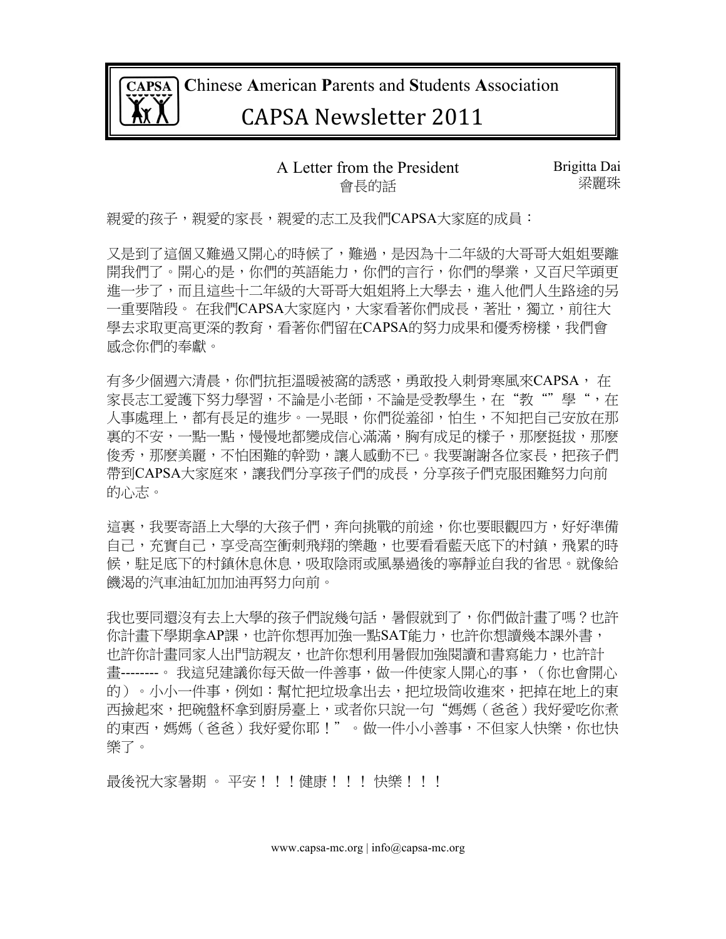

 **C**hinese **A**merican **P**arents and **S**tudents **A**ssociation

## CAPSA%Newsletter%2011

#### A Letter from the President 會長的話

Brigitta Dai 梁麗珠

親愛的孩子,親愛的家長,親愛的志工及我們CAPSA大家庭的成員:

又是到了這個又難過又開心的時候了,難過,是因為十二年級的大哥哥大姐姐要離 開我們了。開心的是,你們的英語能力,你們的言行,你們的學業,又百尺竿頭更 進一步了,而且這些十二年級的大哥哥大姐姐將上大學去,進入他們人生路途的另 一重要階段。 在我們CAPSA大家庭內,大家看著你們成長,著壯,獨立,前往大 學去求取更高更深的教育,看著你們留在CAPSA的努力成果和優秀榜樣,我們會 感念你們的奉獻。

有多少個週六清晨,你們抗拒溫暖被窩的誘惑,勇敢投入刺骨寒風來CAPSA, 在 家長志工愛護下努力學習,不論是小老師,不論是受教學生,在"教""學",在 人事處理上,都有長足的進步。一晃眼,你們從羞卻,怕生,不知把自己安放在那 裏的不安,一點一點,慢慢地都變成信心滿滿,胸有成足的樣子,那麽挺拔,那麽 俊秀,那麼美麗,不怕困難的幹勁,讓人感動不已。我要謝謝各位家長,把孩子們 帶到CAPSA大家庭來,讓我們分享孩子們的成長,分享孩子們克服困難努力向前 的心志。

這裏,我要寄語上大學的大孩子們,奔向挑戰的前途,你也要眼觀四方,好好準備 自己,充實自己,享受高空衝刺飛翔的樂趣,也要看看藍天底下的村鎮,飛累的時 候,駐足底下的村鎮休息休息,吸取陰雨或風暴過後的寧靜並自我的省思。就像給 饑渴的汽車油缸加加油再努力向前。

我也要同還沒有去上大學的孩子們說幾句話,暑假就到了,你們做計畫了嗎?也許 你計書下學期拿AP課,他許你想再加強一點SAT能力,也許你想讀幾本課外書, 也許你計畫同家人出門訪親友,也許你想利用暑假加強閱讀和書寫能力,也許計 書-------。 我這兒建議你每天做一件善事,做一件使家人開心的事,(你也會開心 的)。小小一件事,例如:幫忙把垃圾拿出去,把垃圾筒收進來,把掉在地上的東 西撿起來,把碗盤杯拿到廚房臺上,或者你只說一句"媽媽(爸爸)我好愛吃你煮 的東西,媽媽(爸爸)我好愛你耶!"。做一件小小善事,不但家人快樂,你也快 樂了。

最後祝大家暑期 。 平安!!!健康!!! 快樂!!!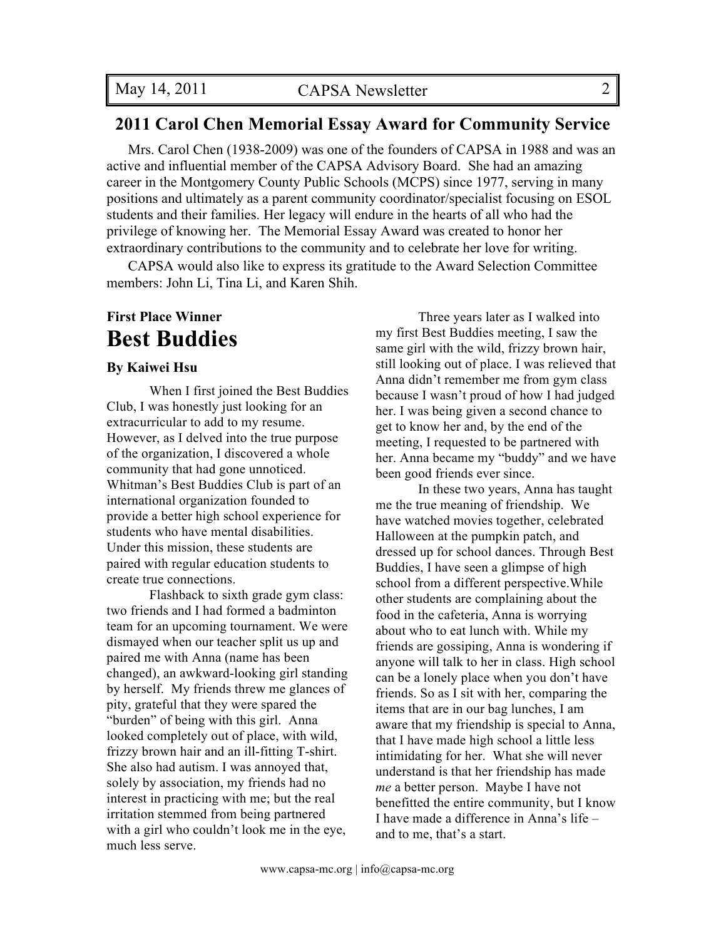#### **2011 Carol Chen Memorial Essay Award for Community Service**

Mrs. Carol Chen (1938-2009) was one of the founders of CAPSA in 1988 and was an active and influential member of the CAPSA Advisory Board. She had an amazing career in the Montgomery County Public Schools (MCPS) since 1977, serving in many positions and ultimately as a parent community coordinator/specialist focusing on ESOL students and their families. Her legacy will endure in the hearts of all who had the privilege of knowing her. The Memorial Essay Award was created to honor her extraordinary contributions to the community and to celebrate her love for writing.

CAPSA would also like to express its gratitude to the Award Selection Committee members: John Li, Tina Li, and Karen Shih.

### **First Place Winner Best Buddies**

#### **By Kaiwei Hsu**

When I first joined the Best Buddies Club, I was honestly just looking for an extracurricular to add to my resume. However, as I delved into the true purpose of the organization, I discovered a whole community that had gone unnoticed. Whitman's Best Buddies Club is part of an international organization founded to provide a better high school experience for students who have mental disabilities. Under this mission, these students are paired with regular education students to create true connections.

Flashback to sixth grade gym class: two friends and I had formed a badminton team for an upcoming tournament. We were dismayed when our teacher split us up and paired me with Anna (name has been changed), an awkward-looking girl standing by herself. My friends threw me glances of pity, grateful that they were spared the "burden" of being with this girl. Anna looked completely out of place, with wild, frizzy brown hair and an ill-fitting T-shirt. She also had autism. I was annoyed that, solely by association, my friends had no interest in practicing with me; but the real irritation stemmed from being partnered with a girl who couldn't look me in the eye, much less serve.

Three years later as I walked into my first Best Buddies meeting, I saw the same girl with the wild, frizzy brown hair, still looking out of place. I was relieved that Anna didn't remember me from gym class because I wasn't proud of how I had judged her. I was being given a second chance to get to know her and, by the end of the meeting, I requested to be partnered with her. Anna became my "buddy" and we have been good friends ever since.

In these two years, Anna has taught me the true meaning of friendship. We have watched movies together, celebrated Halloween at the pumpkin patch, and dressed up for school dances. Through Best Buddies, I have seen a glimpse of high school from a different perspective.While other students are complaining about the food in the cafeteria, Anna is worrying about who to eat lunch with. While my friends are gossiping, Anna is wondering if anyone will talk to her in class. High school can be a lonely place when you don't have friends. So as I sit with her, comparing the items that are in our bag lunches, I am aware that my friendship is special to Anna, that I have made high school a little less intimidating for her. What she will never understand is that her friendship has made *me* a better person. Maybe I have not benefitted the entire community, but I know I have made a difference in Anna's life – and to me, that's a start.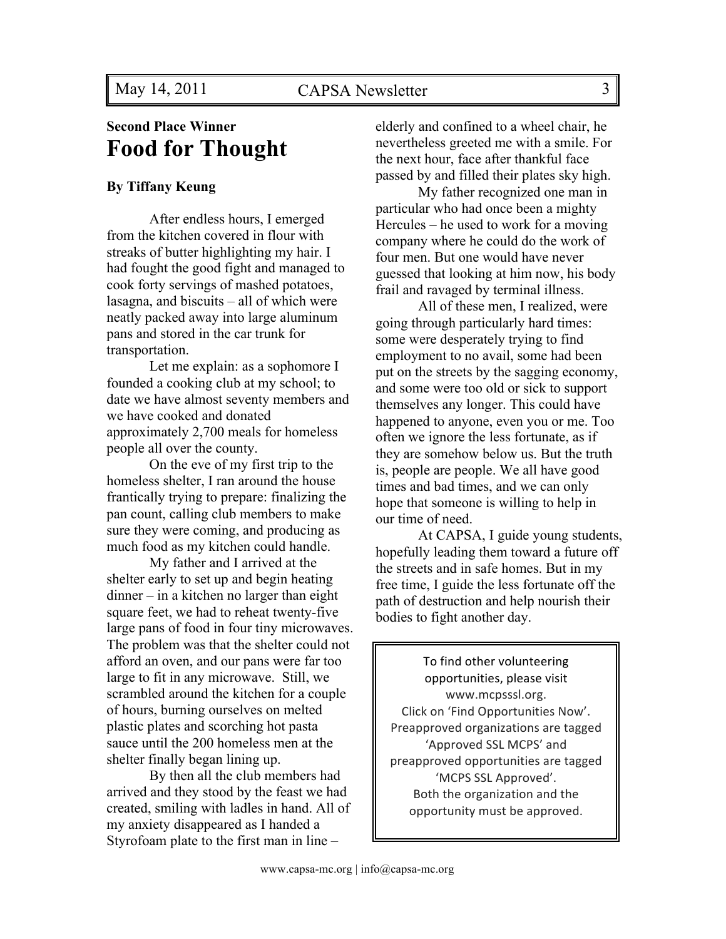## **Second Place Winner Food for Thought**

#### **By Tiffany Keung**

After endless hours, I emerged from the kitchen covered in flour with streaks of butter highlighting my hair. I had fought the good fight and managed to cook forty servings of mashed potatoes, lasagna, and biscuits – all of which were neatly packed away into large aluminum pans and stored in the car trunk for transportation.

Let me explain: as a sophomore I founded a cooking club at my school; to date we have almost seventy members and we have cooked and donated approximately 2,700 meals for homeless people all over the county.

On the eve of my first trip to the homeless shelter, I ran around the house frantically trying to prepare: finalizing the pan count, calling club members to make sure they were coming, and producing as much food as my kitchen could handle.

My father and I arrived at the shelter early to set up and begin heating dinner – in a kitchen no larger than eight square feet, we had to reheat twenty-five large pans of food in four tiny microwaves. The problem was that the shelter could not afford an oven, and our pans were far too large to fit in any microwave. Still, we scrambled around the kitchen for a couple of hours, burning ourselves on melted plastic plates and scorching hot pasta sauce until the 200 homeless men at the shelter finally began lining up.

By then all the club members had arrived and they stood by the feast we had created, smiling with ladles in hand. All of my anxiety disappeared as I handed a Styrofoam plate to the first man in line –

elderly and confined to a wheel chair, he nevertheless greeted me with a smile. For the next hour, face after thankful face passed by and filled their plates sky high.

My father recognized one man in particular who had once been a mighty Hercules – he used to work for a moving company where he could do the work of four men. But one would have never guessed that looking at him now, his body frail and ravaged by terminal illness.

All of these men, I realized, were going through particularly hard times: some were desperately trying to find employment to no avail, some had been put on the streets by the sagging economy, and some were too old or sick to support themselves any longer. This could have happened to anyone, even you or me. Too often we ignore the less fortunate, as if they are somehow below us. But the truth is, people are people. We all have good times and bad times, and we can only hope that someone is willing to help in our time of need.

At CAPSA, I guide young students, hopefully leading them toward a future off the streets and in safe homes. But in my free time, I guide the less fortunate off the path of destruction and help nourish their bodies to fight another day.

To find other volunteering opportunities, please visit www.mcpsssl.org.# Click on 'Find Opportunities Now'. Preapproved organizations are tagged 'Approved SSL MCPS' and preapproved opportunities are tagged 'MCPS SSL Approved'. Both the organization and the opportunity must be approved.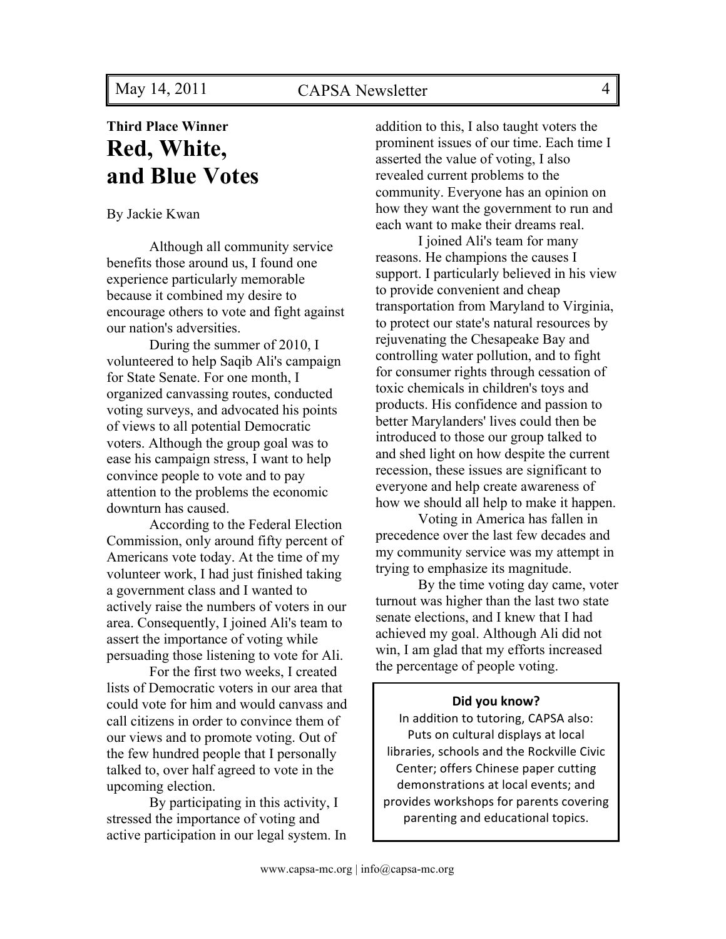## **Third Place Winner Red, White, and Blue Votes**

By Jackie Kwan

Although all community service benefits those around us, I found one experience particularly memorable because it combined my desire to encourage others to vote and fight against our nation's adversities.

During the summer of 2010, I volunteered to help Saqib Ali's campaign for State Senate. For one month, I organized canvassing routes, conducted voting surveys, and advocated his points of views to all potential Democratic voters. Although the group goal was to ease his campaign stress, I want to help convince people to vote and to pay attention to the problems the economic downturn has caused.

According to the Federal Election Commission, only around fifty percent of Americans vote today. At the time of my volunteer work, I had just finished taking a government class and I wanted to actively raise the numbers of voters in our area. Consequently, I joined Ali's team to assert the importance of voting while persuading those listening to vote for Ali.

For the first two weeks, I created lists of Democratic voters in our area that could vote for him and would canvass and call citizens in order to convince them of our views and to promote voting. Out of the few hundred people that I personally talked to, over half agreed to vote in the upcoming election.

By participating in this activity, I stressed the importance of voting and active participation in our legal system. In addition to this, I also taught voters the prominent issues of our time. Each time I asserted the value of voting, I also revealed current problems to the community. Everyone has an opinion on how they want the government to run and each want to make their dreams real.

I joined Ali's team for many reasons. He champions the causes I support. I particularly believed in his view to provide convenient and cheap transportation from Maryland to Virginia, to protect our state's natural resources by rejuvenating the Chesapeake Bay and controlling water pollution, and to fight for consumer rights through cessation of toxic chemicals in children's toys and products. His confidence and passion to better Marylanders' lives could then be introduced to those our group talked to and shed light on how despite the current recession, these issues are significant to everyone and help create awareness of how we should all help to make it happen.

Voting in America has fallen in precedence over the last few decades and my community service was my attempt in trying to emphasize its magnitude.

By the time voting day came, voter turnout was higher than the last two state senate elections, and I knew that I had achieved my goal. Although Ali did not win, I am glad that my efforts increased the percentage of people voting.

#### **Did you know?**

In addition to tutoring, CAPSA also: Puts on cultural displays at local libraries, schools and the Rockville Civic Center; offers Chinese paper cutting demonstrations at local events; and provides workshops for parents covering parenting and educational topics.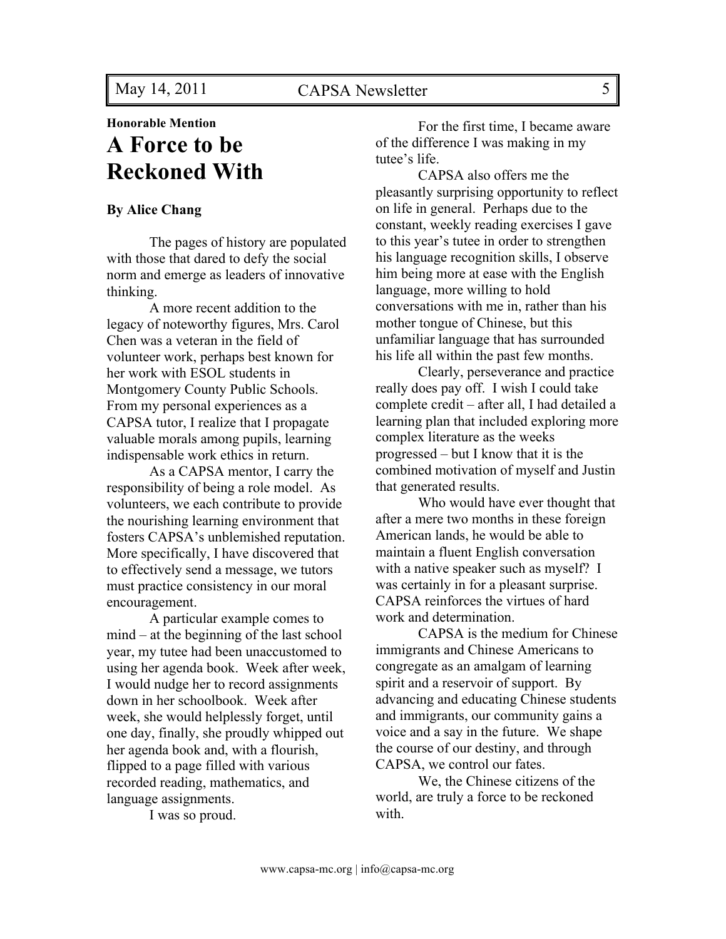**Honorable Mention**

## **A Force to be Reckoned With**

#### **By Alice Chang**

The pages of history are populated with those that dared to defy the social norm and emerge as leaders of innovative thinking.

A more recent addition to the legacy of noteworthy figures, Mrs. Carol Chen was a veteran in the field of volunteer work, perhaps best known for her work with ESOL students in Montgomery County Public Schools. From my personal experiences as a CAPSA tutor, I realize that I propagate valuable morals among pupils, learning indispensable work ethics in return.

As a CAPSA mentor, I carry the responsibility of being a role model. As volunteers, we each contribute to provide the nourishing learning environment that fosters CAPSA's unblemished reputation. More specifically, I have discovered that to effectively send a message, we tutors must practice consistency in our moral encouragement.

A particular example comes to mind – at the beginning of the last school year, my tutee had been unaccustomed to using her agenda book. Week after week, I would nudge her to record assignments down in her schoolbook. Week after week, she would helplessly forget, until one day, finally, she proudly whipped out her agenda book and, with a flourish, flipped to a page filled with various recorded reading, mathematics, and language assignments.

I was so proud.

For the first time, I became aware of the difference I was making in my tutee's life.

CAPSA also offers me the pleasantly surprising opportunity to reflect on life in general. Perhaps due to the constant, weekly reading exercises I gave to this year's tutee in order to strengthen his language recognition skills, I observe him being more at ease with the English language, more willing to hold conversations with me in, rather than his mother tongue of Chinese, but this unfamiliar language that has surrounded his life all within the past few months.

Clearly, perseverance and practice really does pay off. I wish I could take complete credit – after all, I had detailed a learning plan that included exploring more complex literature as the weeks progressed – but I know that it is the combined motivation of myself and Justin that generated results.

Who would have ever thought that after a mere two months in these foreign American lands, he would be able to maintain a fluent English conversation with a native speaker such as myself? I was certainly in for a pleasant surprise. CAPSA reinforces the virtues of hard work and determination.

CAPSA is the medium for Chinese immigrants and Chinese Americans to congregate as an amalgam of learning spirit and a reservoir of support. By advancing and educating Chinese students and immigrants, our community gains a voice and a say in the future. We shape the course of our destiny, and through CAPSA, we control our fates.

We, the Chinese citizens of the world, are truly a force to be reckoned with.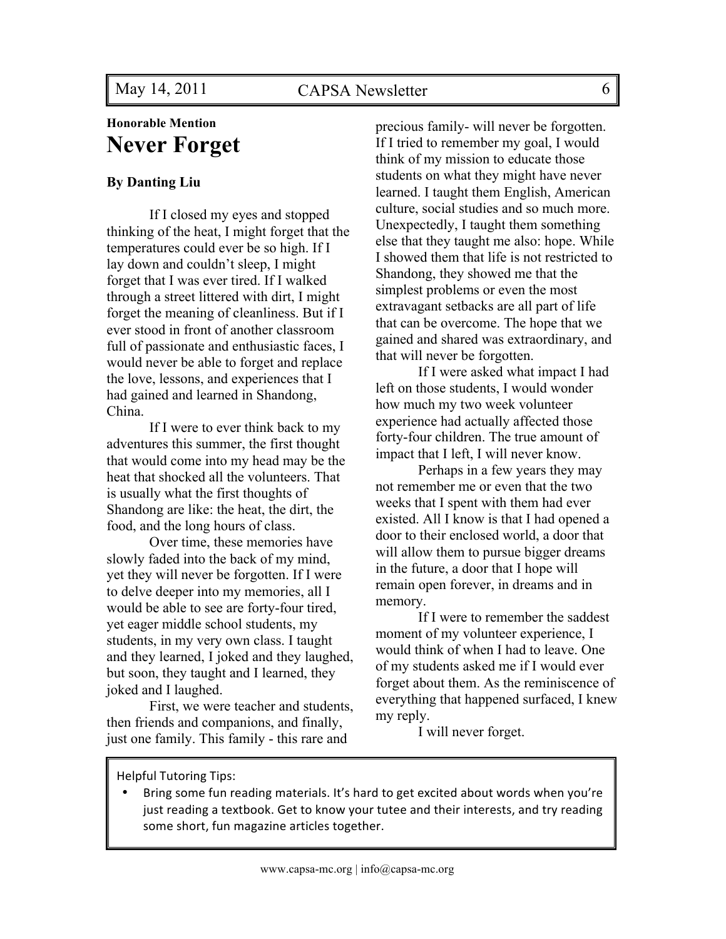### **Honorable Mention Never Forget**

#### **By Danting Liu**

If I closed my eyes and stopped thinking of the heat, I might forget that the temperatures could ever be so high. If I lay down and couldn't sleep, I might forget that I was ever tired. If I walked through a street littered with dirt, I might forget the meaning of cleanliness. But if I ever stood in front of another classroom full of passionate and enthusiastic faces, I would never be able to forget and replace the love, lessons, and experiences that I had gained and learned in Shandong, China.

If I were to ever think back to my adventures this summer, the first thought that would come into my head may be the heat that shocked all the volunteers. That is usually what the first thoughts of Shandong are like: the heat, the dirt, the food, and the long hours of class.

Over time, these memories have slowly faded into the back of my mind, yet they will never be forgotten. If I were to delve deeper into my memories, all I would be able to see are forty-four tired, yet eager middle school students, my students, in my very own class. I taught and they learned, I joked and they laughed, but soon, they taught and I learned, they joked and I laughed.

First, we were teacher and students, then friends and companions, and finally, just one family. This family - this rare and

precious family- will never be forgotten. If I tried to remember my goal, I would think of my mission to educate those students on what they might have never learned. I taught them English, American culture, social studies and so much more. Unexpectedly, I taught them something else that they taught me also: hope. While I showed them that life is not restricted to Shandong, they showed me that the simplest problems or even the most extravagant setbacks are all part of life that can be overcome. The hope that we gained and shared was extraordinary, and that will never be forgotten.

If I were asked what impact I had left on those students, I would wonder how much my two week volunteer experience had actually affected those forty-four children. The true amount of impact that I left, I will never know.

Perhaps in a few years they may not remember me or even that the two weeks that I spent with them had ever existed. All I know is that I had opened a door to their enclosed world, a door that will allow them to pursue bigger dreams in the future, a door that I hope will remain open forever, in dreams and in memory.

If I were to remember the saddest moment of my volunteer experience, I would think of when I had to leave. One of my students asked me if I would ever forget about them. As the reminiscence of everything that happened surfaced, I knew my reply.

I will never forget.

Helpful Tutoring Tips:

Bring some fun reading materials. It's hard to get excited about words when you're just reading a textbook. Get to know your tutee and their interests, and try reading some short, fun magazine articles together.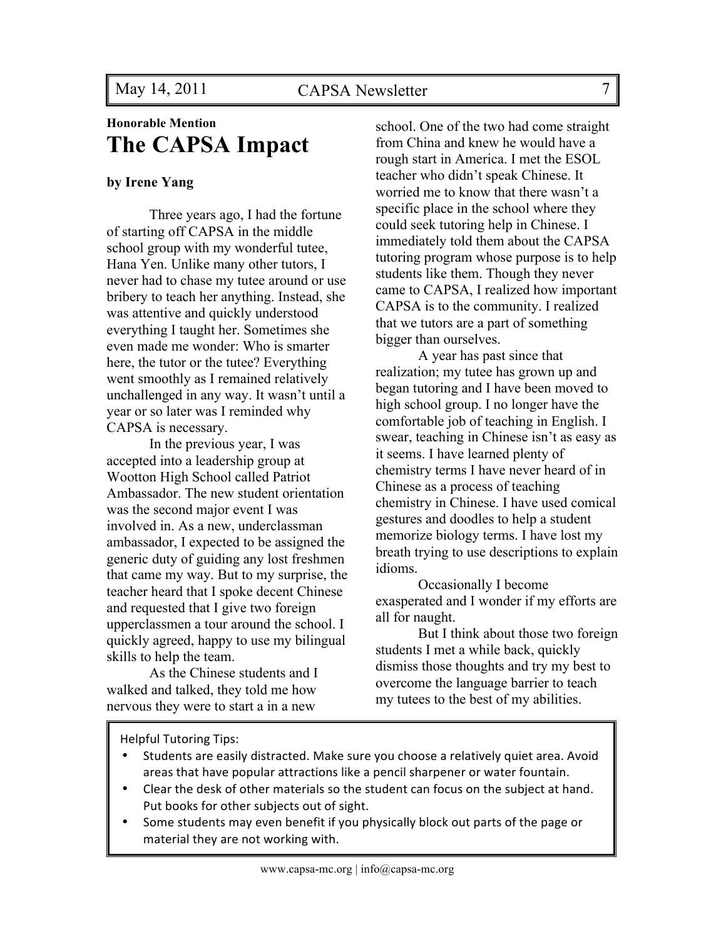## **Honorable Mention The CAPSA Impact**

#### **by Irene Yang**

Three years ago, I had the fortune of starting off CAPSA in the middle school group with my wonderful tutee, Hana Yen. Unlike many other tutors, I never had to chase my tutee around or use bribery to teach her anything. Instead, she was attentive and quickly understood everything I taught her. Sometimes she even made me wonder: Who is smarter here, the tutor or the tutee? Everything went smoothly as I remained relatively unchallenged in any way. It wasn't until a year or so later was I reminded why CAPSA is necessary.

In the previous year, I was accepted into a leadership group at Wootton High School called Patriot Ambassador. The new student orientation was the second major event I was involved in. As a new, underclassman ambassador, I expected to be assigned the generic duty of guiding any lost freshmen that came my way. But to my surprise, the teacher heard that I spoke decent Chinese and requested that I give two foreign upperclassmen a tour around the school. I quickly agreed, happy to use my bilingual skills to help the team.

As the Chinese students and I walked and talked, they told me how nervous they were to start a in a new

school. One of the two had come straight from China and knew he would have a rough start in America. I met the ESOL teacher who didn't speak Chinese. It worried me to know that there wasn't a specific place in the school where they could seek tutoring help in Chinese. I immediately told them about the CAPSA tutoring program whose purpose is to help students like them. Though they never came to CAPSA, I realized how important CAPSA is to the community. I realized that we tutors are a part of something bigger than ourselves.

A year has past since that realization; my tutee has grown up and began tutoring and I have been moved to high school group. I no longer have the comfortable job of teaching in English. I swear, teaching in Chinese isn't as easy as it seems. I have learned plenty of chemistry terms I have never heard of in Chinese as a process of teaching chemistry in Chinese. I have used comical gestures and doodles to help a student memorize biology terms. I have lost my breath trying to use descriptions to explain idioms.

Occasionally I become exasperated and I wonder if my efforts are all for naught.

But I think about those two foreign students I met a while back, quickly dismiss those thoughts and try my best to overcome the language barrier to teach my tutees to the best of my abilities.

Helpful Tutoring Tips:

- Students are easily distracted. Make sure you choose a relatively quiet area. Avoid areas that have popular attractions like a pencil sharpener or water fountain.
- Clear the desk of other materials so the student can focus on the subject at hand. Put books for other subjects out of sight.
- Some students may even benefit if you physically block out parts of the page or material they are not working with.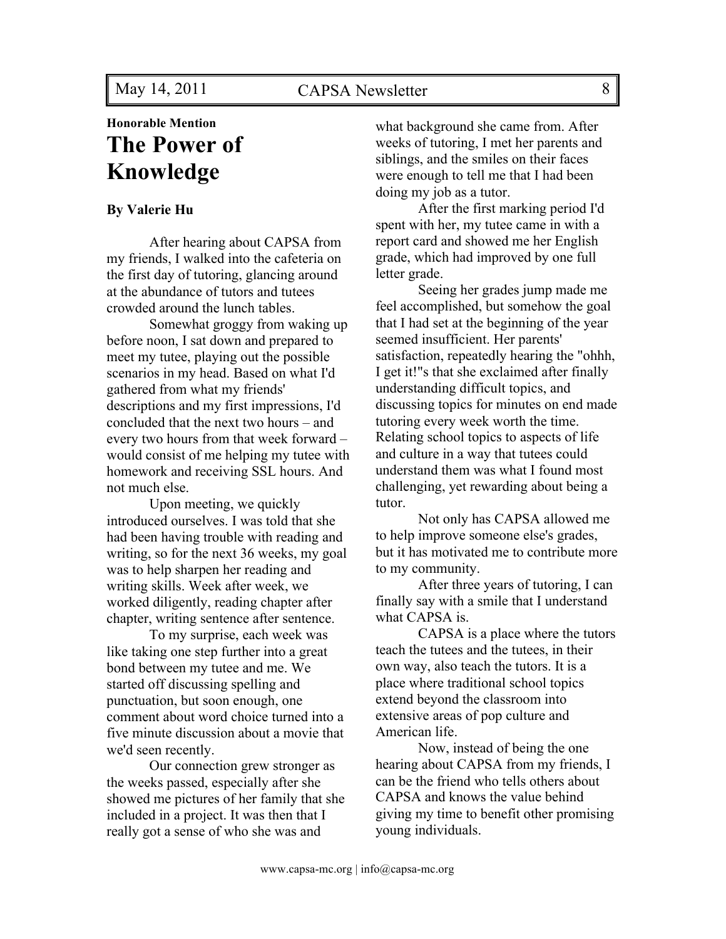## **Honorable Mention The Power of Knowledge**

#### **By Valerie Hu**

After hearing about CAPSA from my friends, I walked into the cafeteria on the first day of tutoring, glancing around at the abundance of tutors and tutees crowded around the lunch tables.

Somewhat groggy from waking up before noon, I sat down and prepared to meet my tutee, playing out the possible scenarios in my head. Based on what I'd gathered from what my friends' descriptions and my first impressions, I'd concluded that the next two hours – and every two hours from that week forward – would consist of me helping my tutee with homework and receiving SSL hours. And not much else.

Upon meeting, we quickly introduced ourselves. I was told that she had been having trouble with reading and writing, so for the next 36 weeks, my goal was to help sharpen her reading and writing skills. Week after week, we worked diligently, reading chapter after chapter, writing sentence after sentence.

To my surprise, each week was like taking one step further into a great bond between my tutee and me. We started off discussing spelling and punctuation, but soon enough, one comment about word choice turned into a five minute discussion about a movie that we'd seen recently.

Our connection grew stronger as the weeks passed, especially after she showed me pictures of her family that she included in a project. It was then that I really got a sense of who she was and

what background she came from. After weeks of tutoring, I met her parents and siblings, and the smiles on their faces were enough to tell me that I had been doing my job as a tutor.

After the first marking period I'd spent with her, my tutee came in with a report card and showed me her English grade, which had improved by one full letter grade.

Seeing her grades jump made me feel accomplished, but somehow the goal that I had set at the beginning of the year seemed insufficient. Her parents' satisfaction, repeatedly hearing the "ohhh, I get it!"s that she exclaimed after finally understanding difficult topics, and discussing topics for minutes on end made tutoring every week worth the time. Relating school topics to aspects of life and culture in a way that tutees could understand them was what I found most challenging, yet rewarding about being a tutor.

Not only has CAPSA allowed me to help improve someone else's grades, but it has motivated me to contribute more to my community.

After three years of tutoring, I can finally say with a smile that I understand what CAPSA is.

CAPSA is a place where the tutors teach the tutees and the tutees, in their own way, also teach the tutors. It is a place where traditional school topics extend beyond the classroom into extensive areas of pop culture and American life.

Now, instead of being the one hearing about CAPSA from my friends, I can be the friend who tells others about CAPSA and knows the value behind giving my time to benefit other promising young individuals.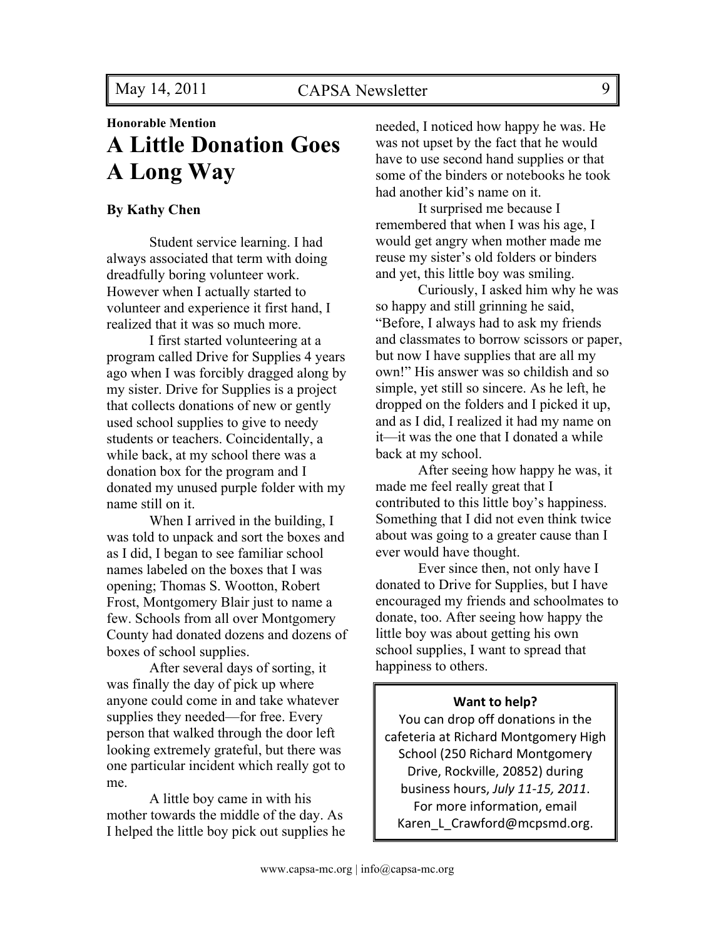## **Honorable Mention A Little Donation Goes A Long Way**

#### **By Kathy Chen**

Student service learning. I had always associated that term with doing dreadfully boring volunteer work. However when I actually started to volunteer and experience it first hand, I realized that it was so much more.

I first started volunteering at a program called Drive for Supplies 4 years ago when I was forcibly dragged along by my sister. Drive for Supplies is a project that collects donations of new or gently used school supplies to give to needy students or teachers. Coincidentally, a while back, at my school there was a donation box for the program and I donated my unused purple folder with my name still on it.

When I arrived in the building, I was told to unpack and sort the boxes and as I did, I began to see familiar school names labeled on the boxes that I was opening; Thomas S. Wootton, Robert Frost, Montgomery Blair just to name a few. Schools from all over Montgomery County had donated dozens and dozens of boxes of school supplies.

After several days of sorting, it was finally the day of pick up where anyone could come in and take whatever supplies they needed—for free. Every person that walked through the door left looking extremely grateful, but there was one particular incident which really got to me.

A little boy came in with his mother towards the middle of the day. As I helped the little boy pick out supplies he needed, I noticed how happy he was. He was not upset by the fact that he would have to use second hand supplies or that some of the binders or notebooks he took had another kid's name on it.

It surprised me because I remembered that when I was his age, I would get angry when mother made me reuse my sister's old folders or binders and yet, this little boy was smiling.

Curiously, I asked him why he was so happy and still grinning he said, "Before, I always had to ask my friends and classmates to borrow scissors or paper, but now I have supplies that are all my own!" His answer was so childish and so simple, yet still so sincere. As he left, he dropped on the folders and I picked it up, and as I did, I realized it had my name on it—it was the one that I donated a while back at my school.

After seeing how happy he was, it made me feel really great that I contributed to this little boy's happiness. Something that I did not even think twice about was going to a greater cause than I ever would have thought.

Ever since then, not only have I donated to Drive for Supplies, but I have encouraged my friends and schoolmates to donate, too. After seeing how happy the little boy was about getting his own school supplies, I want to spread that happiness to others.

#### **Want to help?**

You can drop off donations in the cafeteria at Richard Montgomery High School (250 Richard Montgomery Drive, Rockville, 20852) during business#hours, *July%11'15,%2011*. For more information, email Karen\_L\_Crawford@mcpsmd.org.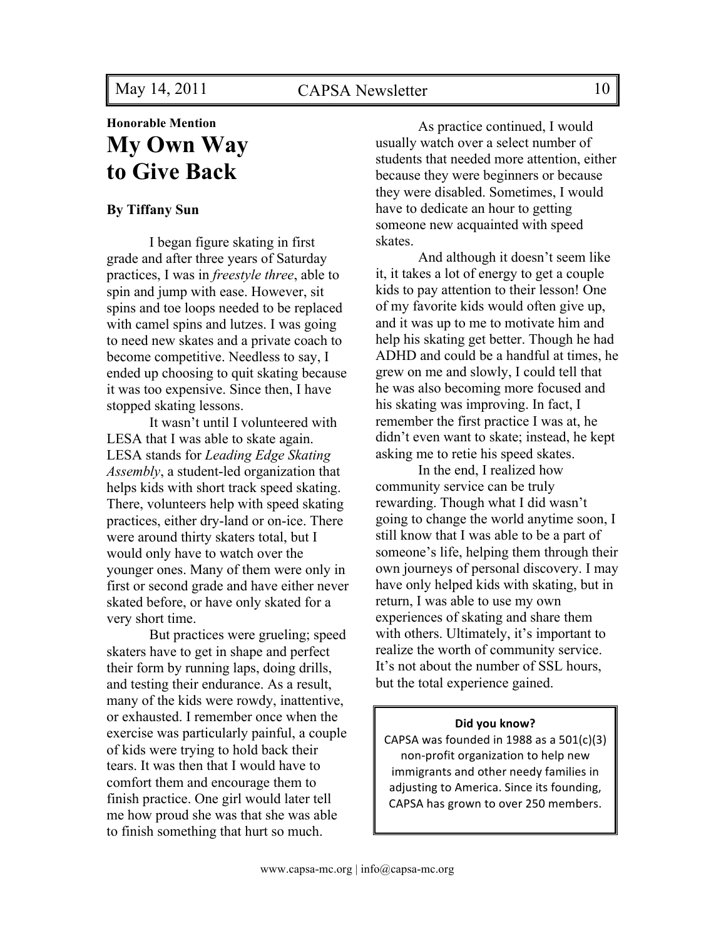## **Honorable Mention My Own Way to Give Back**

#### **By Tiffany Sun**

I began figure skating in first grade and after three years of Saturday practices, I was in *freestyle three*, able to spin and jump with ease. However, sit spins and toe loops needed to be replaced with camel spins and lutzes. I was going to need new skates and a private coach to become competitive. Needless to say, I ended up choosing to quit skating because it was too expensive. Since then, I have stopped skating lessons.

It wasn't until I volunteered with LESA that I was able to skate again. LESA stands for *Leading Edge Skating Assembly*, a student-led organization that helps kids with short track speed skating. There, volunteers help with speed skating practices, either dry-land or on-ice. There were around thirty skaters total, but I would only have to watch over the younger ones. Many of them were only in first or second grade and have either never skated before, or have only skated for a very short time.

But practices were grueling; speed skaters have to get in shape and perfect their form by running laps, doing drills, and testing their endurance. As a result, many of the kids were rowdy, inattentive, or exhausted. I remember once when the exercise was particularly painful, a couple of kids were trying to hold back their tears. It was then that I would have to comfort them and encourage them to finish practice. One girl would later tell me how proud she was that she was able to finish something that hurt so much.

As practice continued, I would usually watch over a select number of students that needed more attention, either because they were beginners or because they were disabled. Sometimes, I would have to dedicate an hour to getting someone new acquainted with speed skates.

And although it doesn't seem like it, it takes a lot of energy to get a couple kids to pay attention to their lesson! One of my favorite kids would often give up, and it was up to me to motivate him and help his skating get better. Though he had ADHD and could be a handful at times, he grew on me and slowly, I could tell that he was also becoming more focused and his skating was improving. In fact, I remember the first practice I was at, he didn't even want to skate; instead, he kept asking me to retie his speed skates.

In the end, I realized how community service can be truly rewarding. Though what I did wasn't going to change the world anytime soon, I still know that I was able to be a part of someone's life, helping them through their own journeys of personal discovery. I may have only helped kids with skating, but in return, I was able to use my own experiences of skating and share them with others. Ultimately, it's important to realize the worth of community service. It's not about the number of SSL hours, but the total experience gained.

#### **Did you know?**

CAPSA was founded in 1988 as a  $501(c)(3)$ non-profit organization to help new immigrants and other needy families in adjusting to America. Since its founding, CAPSA has grown to over 250 members.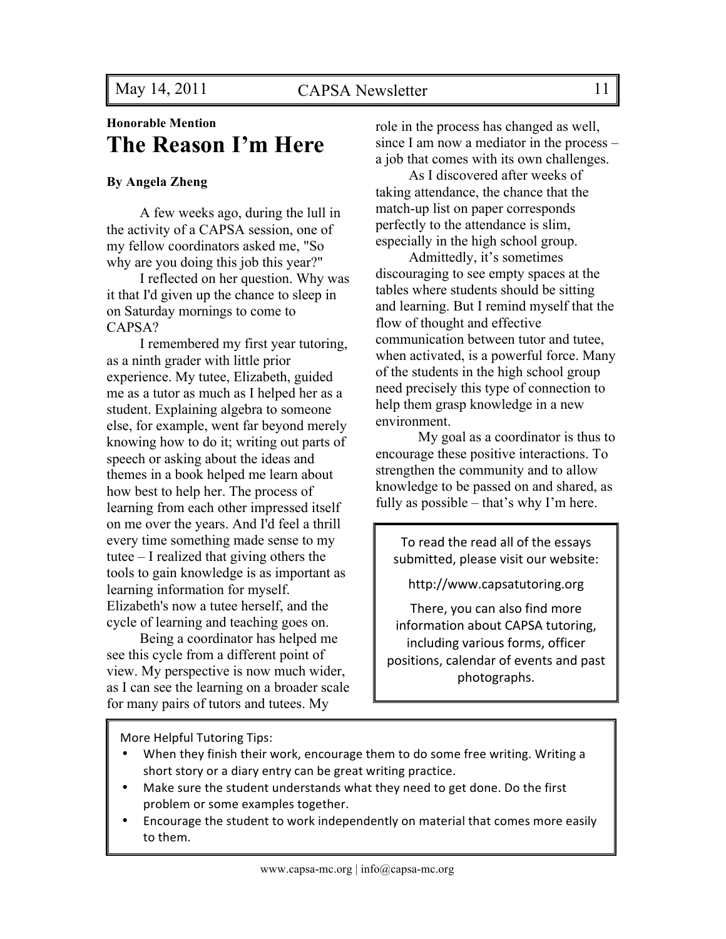## **Honorable Mention The Reason I'm Here**

#### **By Angela Zheng**

A few weeks ago, during the lull in the activity of a CAPSA session, one of my fellow coordinators asked me, "So why are you doing this job this year?"

I reflected on her question. Why was it that I'd given up the chance to sleep in on Saturday mornings to come to CAPSA?

I remembered my first year tutoring, as a ninth grader with little prior experience. My tutee, Elizabeth, guided me as a tutor as much as I helped her as a student. Explaining algebra to someone else, for example, went far beyond merely knowing how to do it; writing out parts of speech or asking about the ideas and themes in a book helped me learn about how best to help her. The process of learning from each other impressed itself on me over the years. And I'd feel a thrill every time something made sense to my tutee – I realized that giving others the tools to gain knowledge is as important as learning information for myself. Elizabeth's now a tutee herself, and the cycle of learning and teaching goes on.

Being a coordinator has helped me see this cycle from a different point of view. My perspective is now much wider, as I can see the learning on a broader scale for many pairs of tutors and tutees. My

role in the process has changed as well, since I am now a mediator in the process – a job that comes with its own challenges.

As I discovered after weeks of taking attendance, the chance that the match-up list on paper corresponds perfectly to the attendance is slim, especially in the high school group.

Admittedly, it's sometimes discouraging to see empty spaces at the tables where students should be sitting and learning. But I remind myself that the flow of thought and effective communication between tutor and tutee, when activated, is a powerful force. Many of the students in the high school group need precisely this type of connection to help them grasp knowledge in a new environment.

My goal as a coordinator is thus to encourage these positive interactions. To strengthen the community and to allow knowledge to be passed on and shared, as fully as possible – that's why I'm here.

To read the read all of the essays submitted, please visit our website:

http://www.capsatutoring.org

There, you can also find more information about CAPSA tutoring, including various forms, officer positions, calendar of events and past photographs.

More Helpful Tutoring Tips:

- When they finish their work, encourage them to do some free writing. Writing a short story or a diary entry can be great writing practice.
- Make sure the student understands what they need to get done. Do the first problem or some examples together.
- Encourage the student to work independently on material that comes more easily to them.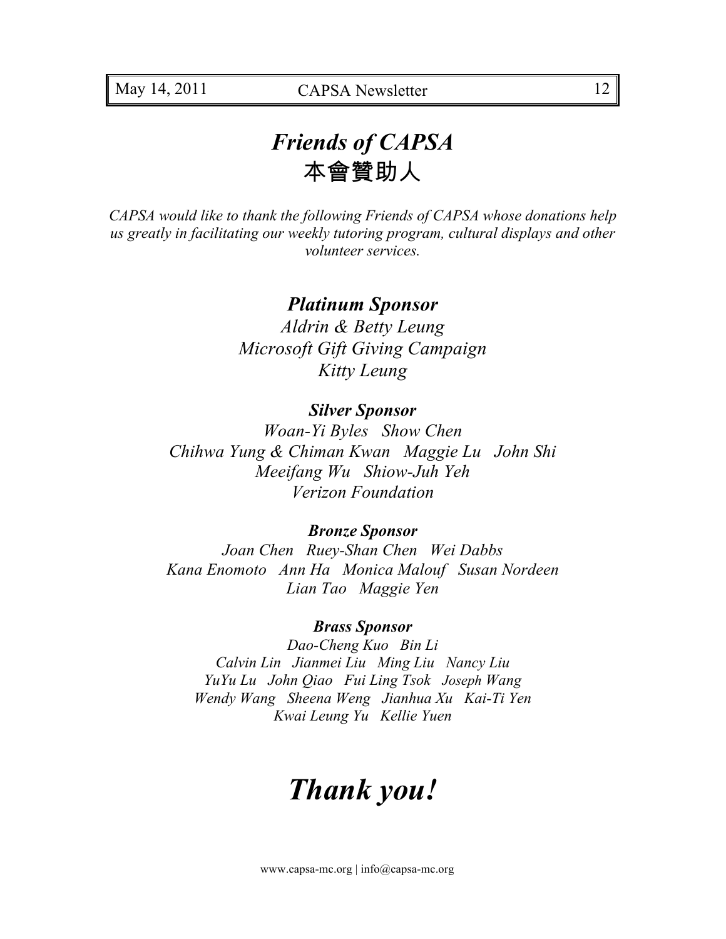## *Friends of CAPSA*  本會贊助人

*CAPSA would like to thank the following Friends of CAPSA whose donations help us greatly in facilitating our weekly tutoring program, cultural displays and other volunteer services.* 

### *Platinum Sponsor*

*Aldrin & Betty Leung Microsoft Gift Giving Campaign Kitty Leung*

#### *Silver Sponsor*

*Woan-Yi Byles Show Chen Chihwa Yung & Chiman Kwan Maggie Lu John Shi Meeifang Wu Shiow-Juh Yeh Verizon Foundation*

#### *Bronze Sponsor*

*Joan Chen Ruey-Shan Chen Wei Dabbs Kana Enomoto Ann Ha Monica Malouf Susan Nordeen Lian Tao Maggie Yen*

#### *Brass Sponsor*

*Dao-Cheng Kuo Bin Li Calvin Lin Jianmei Liu Ming Liu Nancy Liu YuYu Lu John Qiao Fui Ling Tsok Joseph Wang Wendy Wang Sheena Weng Jianhua Xu Kai-Ti Yen Kwai Leung Yu Kellie Yuen*

# *Thank you!*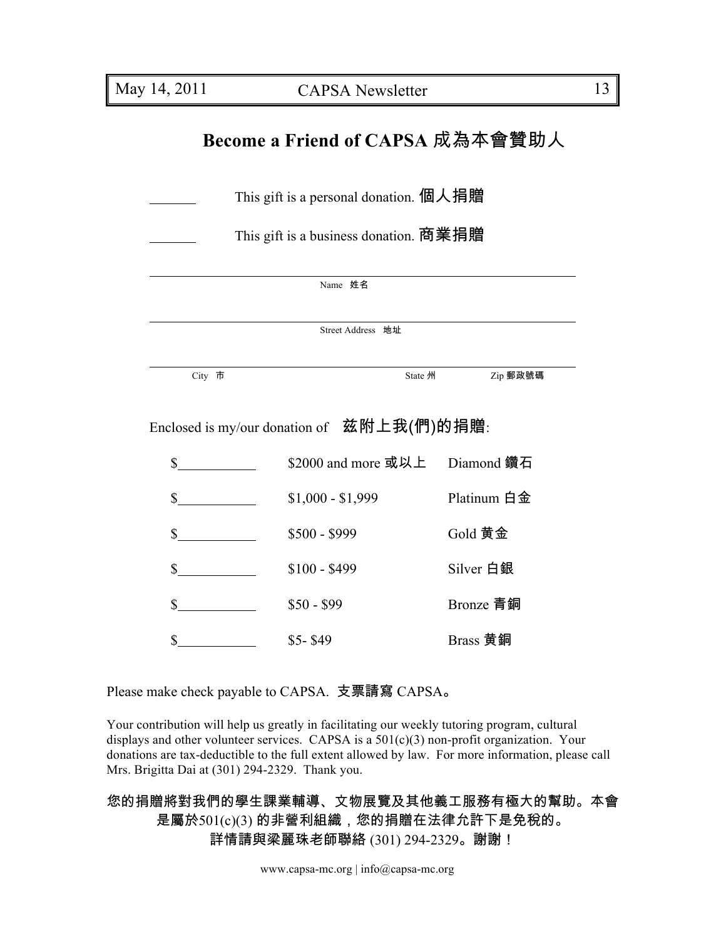## **Become a Friend of CAPSA** 成為本會贊助人

| This gift is a personal donation. 個人捐贈     |                                 |             |  |  |  |
|--------------------------------------------|---------------------------------|-------------|--|--|--|
| This gift is a business donation. 商業捐贈     |                                 |             |  |  |  |
| Name 姓名                                    |                                 |             |  |  |  |
| Street Address 地址                          |                                 |             |  |  |  |
| City 市                                     | State 州                         | Zip 郵政號碼    |  |  |  |
| Enclosed is my/our donation of 兹附上我(們)的捐贈: |                                 |             |  |  |  |
| $\mathbb{S}$                               | \$2000 and more 或以上  Diamond 鑽石 |             |  |  |  |
| $\frac{\sqrt{2}}{2}$                       | $$1,000 - $1,999$               | Platinum 白金 |  |  |  |
| $\frac{\text{S}}{\text{S}}$                | $$500 - $999$                   | Gold 黄金     |  |  |  |
| \$                                         | $$100 - $499$                   | Silver 白銀   |  |  |  |
| \$                                         | $$50 - $99$                     | Bronze 青銅   |  |  |  |
| \$                                         | $$5-$49$                        | Brass 黄銅    |  |  |  |

Please make check payable to CAPSA. 支票請寫 CAPSA。

Your contribution will help us greatly in facilitating our weekly tutoring program, cultural displays and other volunteer services. CAPSA is a  $501(c)(3)$  non-profit organization. Your donations are tax-deductible to the full extent allowed by law. For more information, please call Mrs. Brigitta Dai at (301) 294-2329. Thank you.

您的捐贈將對我們的學生課業輔導、文物展覽及其他義工服務有極大的幫助。本會 是屬於501(c)(3) 的非營利組織,您的捐贈在法律允許下是免稅的。 詳情請與梁麗珠老師聯絡 (301) 294-2329。謝謝!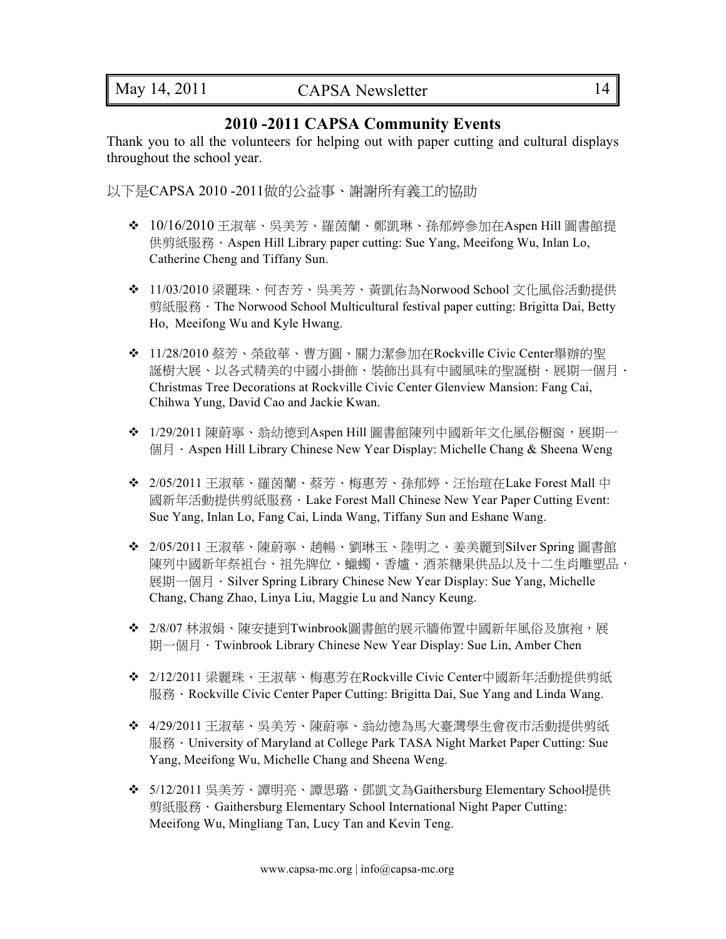### **2010 -2011 CAPSA Community Events**

Thank you to all the volunteers for helping out with paper cutting and cultural displays throughout the school year.

以下是CAPSA 2010 -2011做的公益事、謝謝所有義工的協助

- 10/16/2010 王淑華、吳美芳、羅茵蘭、鄭凱琳、孫郁婷參加在Aspen Hill 圖書館提 供剪紙服務 · Aspen Hill Library paper cutting: Sue Yang, Meeifong Wu, Inlan Lo, Catherine Cheng and Tiffany Sun.
- 11/03/2010 梁麗珠、何杏芳、吳美芳、黃凱佑為Norwood School 文化風俗活動提供 剪紙服務 · The Norwood School Multicultural festival paper cutting: Brigitta Dai, Betty Ho, Meeifong Wu and Kyle Hwang.
- 11/28/2010 蔡芳、榮啟華、曹方圓、關力潔參加在Rockville Civic Center舉辦的聖 誕樹大展、以各式精美的中國小掛飾、裝飾出具有中國風味的聖誕樹.展期一個月. Christmas Tree Decorations at Rockville Civic Center Glenview Mansion: Fang Cai, Chihwa Yung, David Cao and Jackie Kwan.
- ◆ 1/29/2011 陳蔚寧、翁幼德到Aspen Hill 圖書館陳列中國新年文化風俗櫉窗,展期一 個月 · Aspen Hill Library Chinese New Year Display: Michelle Chang & Sheena Weng
- 2/05/2011 王淑華、羅茵蘭、蔡芳、梅惠芳、孫郁婷、汪怡瑄在Lake Forest Mall 中 國新年活動提供剪紙服務.Lake Forest Mall Chinese New Year Paper Cutting Event: Sue Yang, Inlan Lo, Fang Cai, Linda Wang, Tiffany Sun and Eshane Wang.
- 2/05/2011 王淑華、陳蔚寧、趙暢、劉琳玉、陸明之、姜美麗到Silver Spring 圖書館 陳列中國新年祭袓台、祖先牌位、蠟蠋、香爐、酒茶糖果供品以及十二生肖雕塑品, 展期一個月 · Silver Spring Library Chinese New Year Display: Sue Yang, Michelle Chang, Chang Zhao, Linya Liu, Maggie Lu and Nancy Keung.
- ◆ 2/8/07林淑娟、陳安捷到Twinbrook圖書館的展示牆佈置中國新年風俗及旗袍,展 期一個月 · Twinbrook Library Chinese New Year Display: Sue Lin, Amber Chen
- 2/12/2011 梁麗珠、王淑華、梅惠芳在Rockville Civic Center中國新年活動提供剪紙 服務.Rockville Civic Center Paper Cutting: Brigitta Dai, Sue Yang and Linda Wang.
- ◆ 4/29/2011 王淑華、吳美芳、陳蔚寧、翁幼德為馬大臺灣學生會夜市活動提供剪紙 服務 · University of Maryland at College Park TASA Night Market Paper Cutting: Sue Yang, Meeifong Wu, Michelle Chang and Sheena Weng.
- 5/12/2011 吳美芳、譚明亮、譚思璐、鄧凱文為Gaithersburg Elementary School提供 剪紙服務.Gaithersburg Elementary School International Night Paper Cutting: Meeifong Wu, Mingliang Tan, Lucy Tan and Kevin Teng.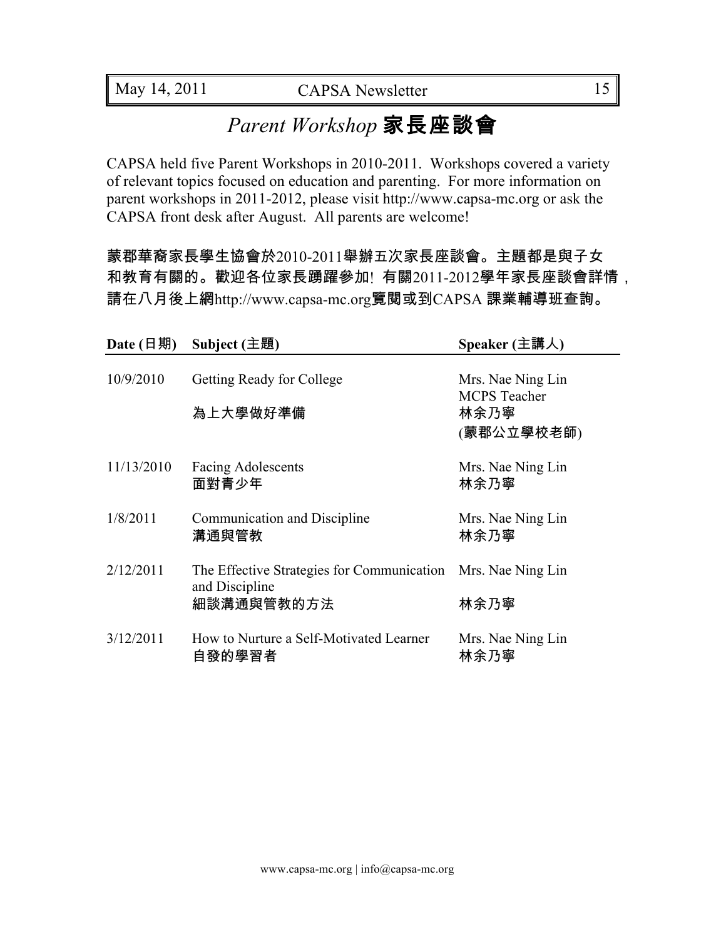## *Parent Workshop* 家長座談會

CAPSA held five Parent Workshops in 2010-2011. Workshops covered a variety of relevant topics focused on education and parenting. For more information on parent workshops in 2011-2012, please visit http://www.capsa-mc.org or ask the CAPSA front desk after August. All parents are welcome!

蒙郡華裔家長學生協會於2010-2011舉辦五次家長座談會。主題都是與子女 和教育有關的。歡迎各位家長踴躍參加! 有關2011-2012學年家長座談會詳情, 請在八月後上網http://www.capsa-mc.org覽閱或到CAPSA 課業輔導班查詢。

| Date $(\exists$ 期) | Subject $($ 主題 $)$                                                         | Speaker (主講人)                                                  |
|--------------------|----------------------------------------------------------------------------|----------------------------------------------------------------|
| 10/9/2010          | <b>Getting Ready for College</b><br>為上大學做好準備                               | Mrs. Nae Ning Lin<br><b>MCPS</b> Teacher<br>林余乃寧<br>(蒙郡公立學校老師) |
| 11/13/2010         | <b>Facing Adolescents</b><br>面對青少年                                         | Mrs. Nae Ning Lin<br>林余乃寧                                      |
| 1/8/2011           | Communication and Discipline<br>溝通與管教                                      | Mrs. Nae Ning Lin<br>林余乃寧                                      |
| 2/12/2011          | The Effective Strategies for Communication<br>and Discipline<br>細談溝通與管教的方法 | Mrs. Nae Ning Lin<br>林余乃寧                                      |
| 3/12/2011          | How to Nurture a Self-Motivated Learner<br>自發的學習者                          | Mrs. Nae Ning Lin<br>林余乃寧                                      |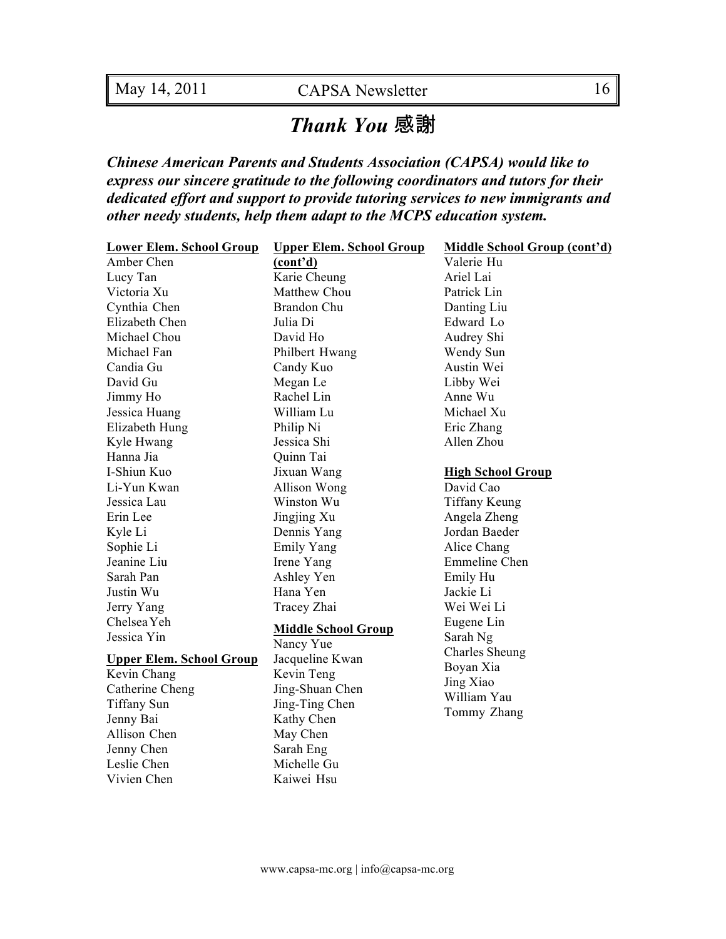## *Thank You* 感謝

*Chinese American Parents and Students Association (CAPSA) would like to express our sincere gratitude to the following coordinators and tutors for their dedicated effort and support to provide tutoring services to new immigrants and other needy students, help them adapt to the MCPS education system.*

| <b>Lower Elem. School Group</b> | <b>Upper Elem. School Group</b> | Middle School Group (cont'd) |
|---------------------------------|---------------------------------|------------------------------|
| Amber Chen                      | (cont'd)                        | Valerie Hu                   |
| Lucy Tan                        | Karie Cheung                    | Ariel Lai                    |
| Victoria Xu                     | Matthew Chou                    | Patrick Lin                  |
| Cynthia Chen                    | <b>Brandon Chu</b>              | Danting Liu                  |
| Elizabeth Chen                  | Julia Di                        | Edward Lo                    |
| Michael Chou                    | David Ho                        | Audrey Shi                   |
| Michael Fan                     | Philbert Hwang                  | Wendy Sun                    |
| Candia Gu                       | Candy Kuo                       | Austin Wei                   |
| David Gu                        | Megan Le                        | Libby Wei                    |
| Jimmy Ho                        | Rachel Lin                      | Anne Wu                      |
| Jessica Huang                   | William Lu                      | Michael Xu                   |
| Elizabeth Hung                  | Philip Ni                       | Eric Zhang                   |
| Kyle Hwang                      | Jessica Shi                     | Allen Zhou                   |
| Hanna Jia                       | Quinn Tai                       |                              |
| I-Shiun Kuo                     | Jixuan Wang                     | <b>High School Group</b>     |
| Li-Yun Kwan                     | Allison Wong                    | David Cao                    |
| Jessica Lau                     | Winston Wu                      | <b>Tiffany Keung</b>         |
| Erin Lee                        | Jingjing Xu                     | Angela Zheng                 |
| Kyle Li                         | Dennis Yang                     | Jordan Baeder                |
| Sophie Li                       | <b>Emily Yang</b>               | Alice Chang                  |
| Jeanine Liu                     | Irene Yang                      | Emmeline Chen                |
| Sarah Pan                       | Ashley Yen                      | Emily Hu                     |
| Justin Wu                       | Hana Yen                        | Jackie Li                    |
| Jerry Yang                      | Tracey Zhai                     | Wei Wei Li                   |
| Chelsea Yeh                     | <b>Middle School Group</b>      | Eugene Lin                   |
| Jessica Yin                     | Nancy Yue                       | Sarah Ng                     |
| <b>Upper Elem. School Group</b> | Jacqueline Kwan                 | <b>Charles Sheung</b>        |
| Kevin Chang                     | Kevin Teng                      | Boyan Xia                    |
| Catherine Cheng                 | Jing-Shuan Chen                 | Jing Xiao                    |
| <b>Tiffany Sun</b>              | Jing-Ting Chen                  | William Yau                  |
| Jenny Bai                       | Kathy Chen                      | Tommy Zhang                  |
| Allison Chen                    | May Chen                        |                              |
| Jenny Chen                      | Sarah Eng                       |                              |
| Leslie Chen                     | Michelle Gu                     |                              |
| Vivien Chen                     | Kaiwei Hsu                      |                              |
|                                 |                                 |                              |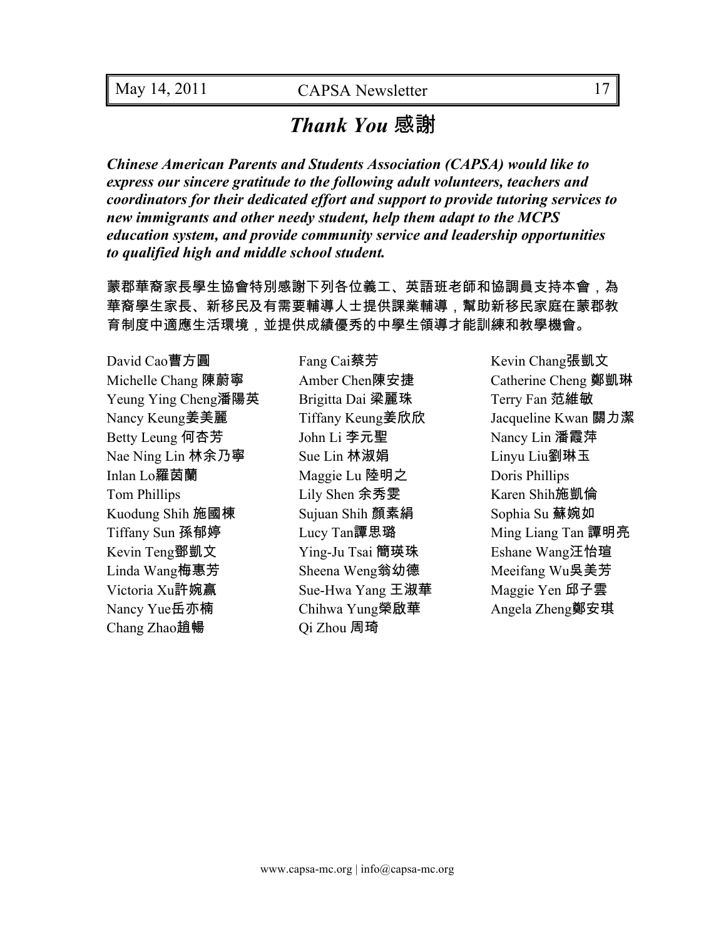## *Thank You* 感謝

*Chinese American Parents and Students Association (CAPSA) would like to express our sincere gratitude to the following adult volunteers, teachers and coordinators for their dedicated effort and support to provide tutoring services to new immigrants and other needy student, help them adapt to the MCPS education system, and provide community service and leadership opportunities to qualified high and middle school student.*

蒙郡華裔家長學生協會特別感謝下列各位義工、英語班老師和協調員支持本會,為 華裔學生家長、新移民及有需要輔導人士提供課業輔導,幫助新移民家庭在蒙郡教 育制度中適應生活環境,並提供成績優秀的中學生領導才能訓練和教學機會。

Michelle Chang 陳蔚寧 Amber Chen陳安捷 Catherine Cheng 鄭凱琳 Yeung Ying Cheng潘陽英 Brigitta Dai 梁麗珠 Terry Fan 范維敏 Nancy Keung姜美麗 Tiffany Keung姜欣欣 Jacqueline Kwan 關力潔 Betty Leung 何杏芳 The Li 李元聖 Nancy Lin 潘霞萍 Nae Ning Lin 林余乃寧 Sue Lin 林淑娟 Linyu Liu劉琳玉 Inlan Lo羅茵蘭 Maggie Lu 陸明之 Doris Phillips Tom Phillips Lily Shen 余秀雯 Karen Shih施凱倫 Kuodung Shih 施國棟 Sujuan Shih 顏素絹 Sophia Su 蘇婉如 Tiffany Sun 孫郁婷 Lucy Tan譚思璐 Ming Liang Tan 譚明亮 Kevin Teng鄧凱文 Ying-Ju Tsai 簡瑛珠 Fishane Wang汪怡瑄 Linda Wang梅惠芳 Sheena Weng翁幼德 Meeifang Wu吳美芳 Victoria Xu許婉贏 Sue-Hwa Yang 王淑華 Maggie Yen 邱子雲 Nancy Yue岳亦楠 Chihwa Yung榮啟華 Angela Zheng鄭安琪 Chang Zhao趙暢 Qi Zhou 周琦

David Cao曹方圓 Fang Cai蔡芳 Fang Cai蔡芳 Kevin Chang張凱文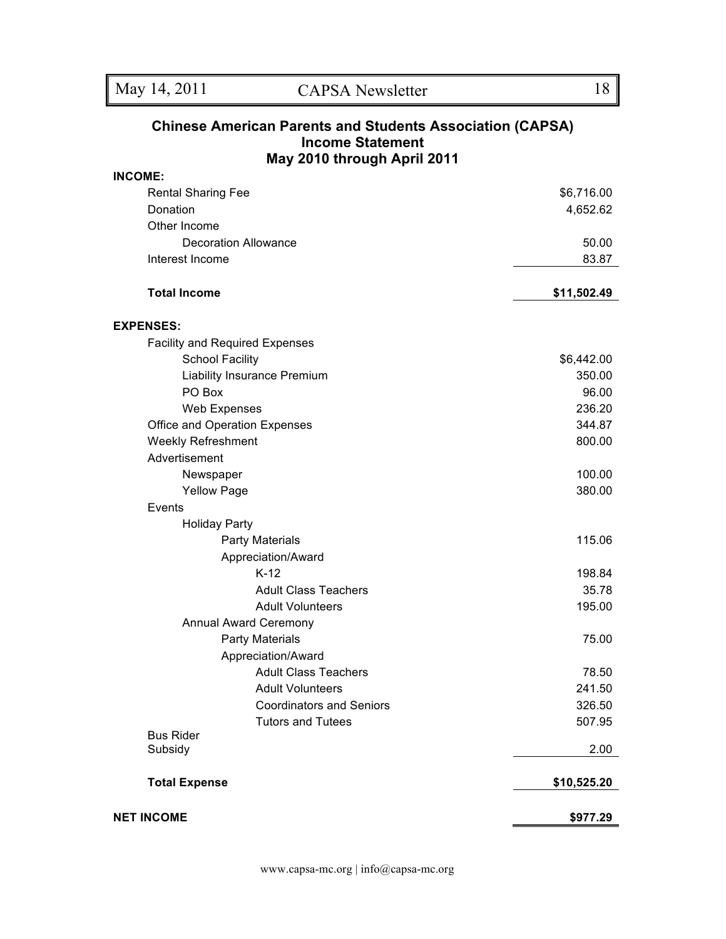#### **Chinese American Parents and Students Association (CAPSA) Income Statement May 2010 through April 2011**

| <b>INCOME:</b>                        |                         |
|---------------------------------------|-------------------------|
| <b>Rental Sharing Fee</b>             | \$6,716.00              |
| Donation                              | 4,652.62                |
| Other Income                          |                         |
| <b>Decoration Allowance</b>           | 50.00                   |
| Interest Income                       | 83.87                   |
| <b>Total Income</b>                   | \$11,502.49             |
| <b>EXPENSES:</b>                      |                         |
| <b>Facility and Required Expenses</b> |                         |
| <b>School Facility</b>                | \$6,442.00              |
| Liability Insurance Premium           | 350.00                  |
| PO Box                                | 96.00                   |
| <b>Web Expenses</b>                   | 236.20                  |
| Office and Operation Expenses         | 344.87                  |
| <b>Weekly Refreshment</b>             | 800.00                  |
| Advertisement                         |                         |
| Newspaper                             | 100.00                  |
| <b>Yellow Page</b>                    | 380.00                  |
| Events                                |                         |
| <b>Holiday Party</b>                  |                         |
| <b>Party Materials</b>                | 115.06                  |
| Appreciation/Award                    |                         |
| $K-12$                                | 198.84                  |
| <b>Adult Class Teachers</b>           | 35.78                   |
| <b>Adult Volunteers</b>               | 195.00                  |
| <b>Annual Award Ceremony</b>          |                         |
| <b>Party Materials</b>                | 75.00                   |
| Appreciation/Award                    |                         |
| <b>Adult Class Teachers</b>           | 78.50                   |
| <b>Adult Volunteers</b>               | 241.50                  |
| <b>Coordinators and Seniors</b>       | 326.50                  |
| <b>Tutors and Tutees</b>              | 507.95                  |
| <b>Bus Rider</b><br>Subsidy           | 2.00                    |
| <b>Total Expense</b>                  |                         |
| <b>NET INCOME</b>                     | \$10,525.20<br>\$977.29 |
|                                       |                         |